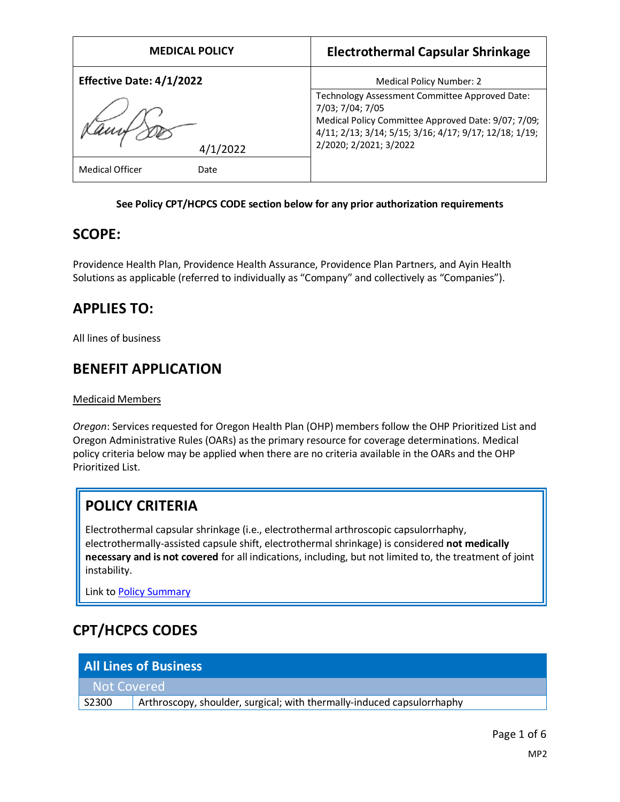| <b>MEDICAL POLICY</b>           | <b>Electrothermal Capsular Shrinkage</b>                                                                                                                                                                      |
|---------------------------------|---------------------------------------------------------------------------------------------------------------------------------------------------------------------------------------------------------------|
| <b>Effective Date: 4/1/2022</b> | Medical Policy Number: 2                                                                                                                                                                                      |
| 4/1/2022                        | Technology Assessment Committee Approved Date:<br>7/03; 7/04; 7/05<br>Medical Policy Committee Approved Date: 9/07; 7/09;<br>4/11; 2/13; 3/14; 5/15; 3/16; 4/17; 9/17; 12/18; 1/19;<br>2/2020; 2/2021; 3/2022 |
| <b>Medical Officer</b><br>Date  |                                                                                                                                                                                                               |

#### **See Policy CPT/HCPCS CODE section below for any prior authorization requirements**

### **SCOPE:**

Providence Health Plan, Providence Health Assurance, Providence Plan Partners, and Ayin Health Solutions as applicable (referred to individually as "Company" and collectively as "Companies").

### **APPLIES TO:**

All lines of business

### **BENEFIT APPLICATION**

Medicaid Members

*Oregon*: Services requested for Oregon Health Plan (OHP) members follow the OHP Prioritized List and Oregon Administrative Rules (OARs) as the primary resource for coverage determinations. Medical policy criteria below may be applied when there are no criteria available in the OARs and the OHP Prioritized List.

# **POLICY CRITERIA**

Electrothermal capsular shrinkage (i.e., electrothermal arthroscopic capsulorrhaphy, electrothermally-assisted capsule shift, electrothermal shrinkage) is considered **not medically necessary and is not covered** for all indications, including, but not limited to, the treatment of joint instability.

Link t[o Policy Summary](#page-3-0)

# **CPT/HCPCS CODES**

| <b>All Lines of Business</b> |                                                                        |
|------------------------------|------------------------------------------------------------------------|
| Not Covered                  |                                                                        |
| S2300                        | Arthroscopy, shoulder, surgical; with thermally-induced capsulorrhaphy |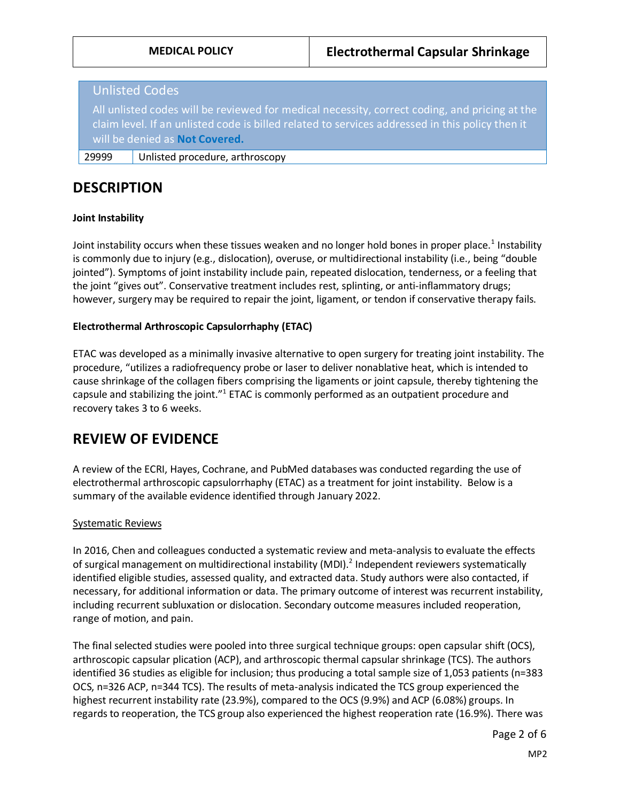| <b>Unlisted Codes</b>                                                                                                                                                                            |  |
|--------------------------------------------------------------------------------------------------------------------------------------------------------------------------------------------------|--|
| All unlisted codes will be reviewed for medical necessity, correct coding, and pricing at the<br>claim level. If an unlisted code is billed related to services addressed in this policy then it |  |
| will be denied as Not Covered.                                                                                                                                                                   |  |
| Unlisted procedure, arthroscopy<br>29999                                                                                                                                                         |  |

## **DESCRIPTION**

#### **Joint Instability**

Joint instability occurs when these tissues weaken and no longer hold bones in proper place.<sup>1</sup> Instability is commonly due to injury (e.g., dislocation), overuse, or multidirectional instability (i.e., being "double jointed"). Symptoms of joint instability include pain, repeated dislocation, tenderness, or a feeling that the joint "gives out". Conservative treatment includes rest, splinting, or anti-inflammatory drugs; however, surgery may be required to repair the joint, ligament, or tendon if conservative therapy fails.

#### **Electrothermal Arthroscopic Capsulorrhaphy (ETAC)**

ETAC was developed as a minimally invasive alternative to open surgery for treating joint instability. The procedure, "utilizes a radiofrequency probe or laser to deliver nonablative heat, which is intended to cause shrinkage of the collagen fibers comprising the ligaments or joint capsule, thereby tightening the capsule and stabilizing the joint."<sup>1</sup> ETAC is commonly performed as an outpatient procedure and recovery takes 3 to 6 weeks.

### **REVIEW OF EVIDENCE**

A review of the ECRI, Hayes, Cochrane, and PubMed databases was conducted regarding the use of electrothermal arthroscopic capsulorrhaphy (ETAC) as a treatment for joint instability. Below is a summary of the available evidence identified through January 2022.

#### Systematic Reviews

In 2016, Chen and colleagues conducted a systematic review and meta-analysis to evaluate the effects of surgical management on multidirectional instability (MDI).<sup>2</sup> Independent reviewers systematically identified eligible studies, assessed quality, and extracted data. Study authors were also contacted, if necessary, for additional information or data. The primary outcome of interest was recurrent instability, including recurrent subluxation or dislocation. Secondary outcome measures included reoperation, range of motion, and pain.

The final selected studies were pooled into three surgical technique groups: open capsular shift (OCS), arthroscopic capsular plication (ACP), and arthroscopic thermal capsular shrinkage (TCS). The authors identified 36 studies as eligible for inclusion; thus producing a total sample size of 1,053 patients (n=383 OCS, n=326 ACP, n=344 TCS). The results of meta-analysis indicated the TCS group experienced the highest recurrent instability rate (23.9%), compared to the OCS (9.9%) and ACP (6.08%) groups. In regards to reoperation, the TCS group also experienced the highest reoperation rate (16.9%). There was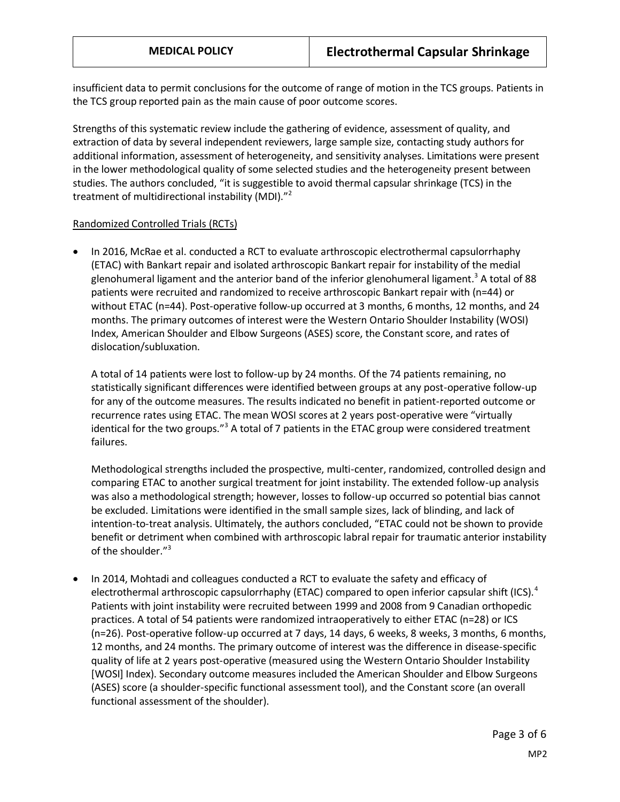insufficient data to permit conclusions for the outcome of range of motion in the TCS groups. Patients in the TCS group reported pain as the main cause of poor outcome scores.

Strengths of this systematic review include the gathering of evidence, assessment of quality, and extraction of data by several independent reviewers, large sample size, contacting study authors for additional information, assessment of heterogeneity, and sensitivity analyses. Limitations were present in the lower methodological quality of some selected studies and the heterogeneity present between studies. The authors concluded, "it is suggestible to avoid thermal capsular shrinkage (TCS) in the treatment of multidirectional instability (MDI)."<sup>2</sup>

#### Randomized Controlled Trials (RCTs)

• In 2016, McRae et al. conducted a RCT to evaluate arthroscopic electrothermal capsulorrhaphy (ETAC) with Bankart repair and isolated arthroscopic Bankart repair for instability of the medial glenohumeral ligament and the anterior band of the inferior glenohumeral ligament. <sup>3</sup> A total of 88 patients were recruited and randomized to receive arthroscopic Bankart repair with (n=44) or without ETAC (n=44). Post-operative follow-up occurred at 3 months, 6 months, 12 months, and 24 months. The primary outcomes of interest were the Western Ontario Shoulder Instability (WOSI) Index, American Shoulder and Elbow Surgeons (ASES) score, the Constant score, and rates of dislocation/subluxation.

A total of 14 patients were lost to follow-up by 24 months. Of the 74 patients remaining, no statistically significant differences were identified between groups at any post-operative follow-up for any of the outcome measures. The results indicated no benefit in patient-reported outcome or recurrence rates using ETAC. The mean WOSI scores at 2 years post-operative were "virtually identical for the two groups."<sup>3</sup> A total of 7 patients in the ETAC group were considered treatment failures.

Methodological strengths included the prospective, multi-center, randomized, controlled design and comparing ETAC to another surgical treatment for joint instability. The extended follow-up analysis was also a methodological strength; however, losses to follow-up occurred so potential bias cannot be excluded. Limitations were identified in the small sample sizes, lack of blinding, and lack of intention-to-treat analysis. Ultimately, the authors concluded, "ETAC could not be shown to provide benefit or detriment when combined with arthroscopic labral repair for traumatic anterior instability of the shoulder."<sup>3</sup>

• In 2014, Mohtadi and colleagues conducted a RCT to evaluate the safety and efficacy of electrothermal arthroscopic capsulorrhaphy (ETAC) compared to open inferior capsular shift (ICS).<sup>4</sup> Patients with joint instability were recruited between 1999 and 2008 from 9 Canadian orthopedic practices. A total of 54 patients were randomized intraoperatively to either ETAC (n=28) or ICS (n=26). Post-operative follow-up occurred at 7 days, 14 days, 6 weeks, 8 weeks, 3 months, 6 months, 12 months, and 24 months. The primary outcome of interest was the difference in disease-specific quality of life at 2 years post-operative (measured using the Western Ontario Shoulder Instability [WOSI] Index). Secondary outcome measures included the American Shoulder and Elbow Surgeons (ASES) score (a shoulder-specific functional assessment tool), and the Constant score (an overall functional assessment of the shoulder).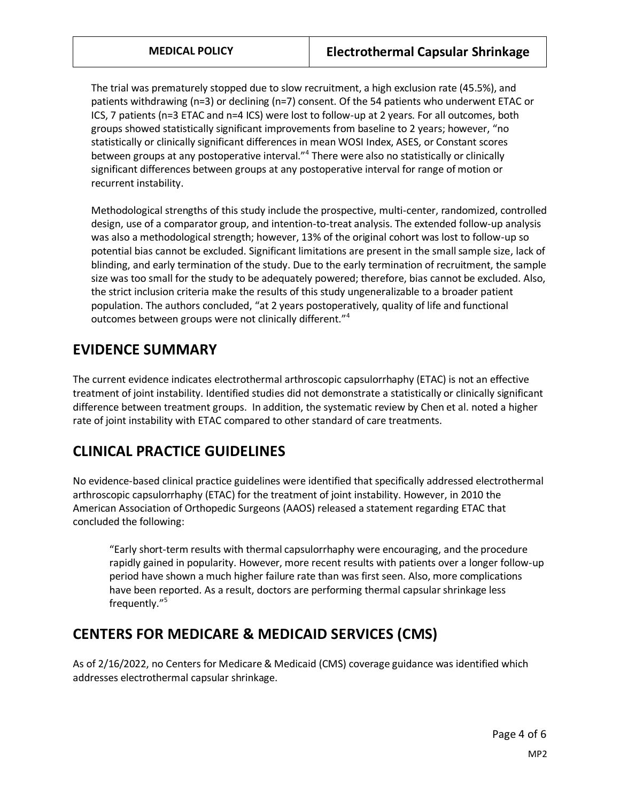The trial was prematurely stopped due to slow recruitment, a high exclusion rate (45.5%), and patients withdrawing (n=3) or declining (n=7) consent. Of the 54 patients who underwent ETAC or ICS, 7 patients (n=3 ETAC and n=4 ICS) were lost to follow-up at 2 years. For all outcomes, both groups showed statistically significant improvements from baseline to 2 years; however, "no statistically or clinically significant differences in mean WOSI Index, ASES, or Constant scores between groups at any postoperative interval."<sup>4</sup> There were also no statistically or clinically significant differences between groups at any postoperative interval for range of motion or recurrent instability.

Methodological strengths of this study include the prospective, multi-center, randomized, controlled design, use of a comparator group, and intention-to-treat analysis. The extended follow-up analysis was also a methodological strength; however, 13% of the original cohort was lost to follow-up so potential bias cannot be excluded. Significant limitations are present in the small sample size, lack of blinding, and early termination of the study. Due to the early termination of recruitment, the sample size was too small for the study to be adequately powered; therefore, bias cannot be excluded. Also, the strict inclusion criteria make the results of this study ungeneralizable to a broader patient population. The authors concluded, "at 2 years postoperatively, quality of life and functional outcomes between groups were not clinically different."<sup>4</sup>

## <span id="page-3-0"></span>**EVIDENCE SUMMARY**

The current evidence indicates electrothermal arthroscopic capsulorrhaphy (ETAC) is not an effective treatment of joint instability. Identified studies did not demonstrate a statistically or clinically significant difference between treatment groups. In addition, the systematic review by Chen et al. noted a higher rate of joint instability with ETAC compared to other standard of care treatments.

## **CLINICAL PRACTICE GUIDELINES**

No evidence-based clinical practice guidelines were identified that specifically addressed electrothermal arthroscopic capsulorrhaphy (ETAC) for the treatment of joint instability. However, in 2010 the American Association of Orthopedic Surgeons (AAOS) released a statement regarding ETAC that concluded the following:

"Early short-term results with thermal capsulorrhaphy were encouraging, and the procedure rapidly gained in popularity. However, more recent results with patients over a longer follow-up period have shown a much higher failure rate than was first seen. Also, more complications have been reported. As a result, doctors are performing thermal capsular shrinkage less frequently."<sup>5</sup>

# **CENTERS FOR MEDICARE & MEDICAID SERVICES (CMS)**

As of 2/16/2022, no Centers for Medicare & Medicaid (CMS) coverage guidance was identified which addresses electrothermal capsular shrinkage.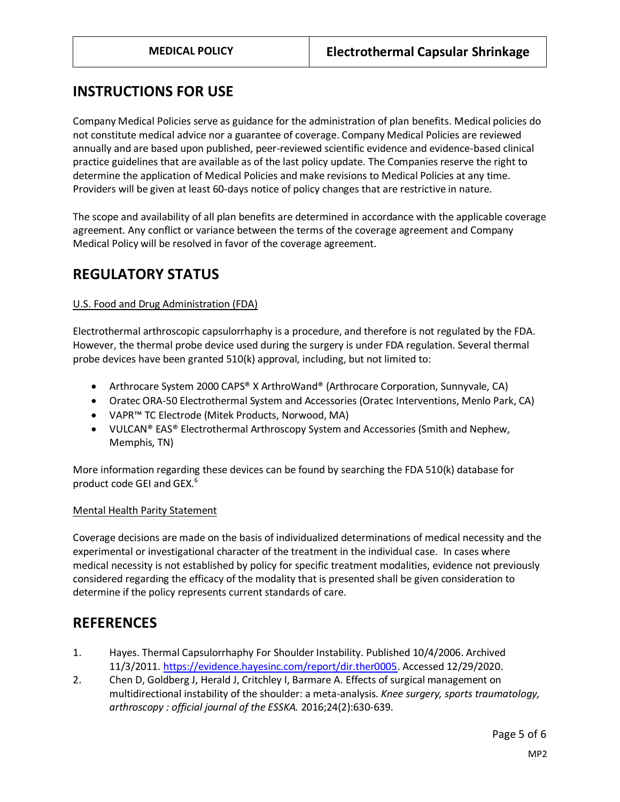### **INSTRUCTIONS FOR USE**

Company Medical Policies serve as guidance for the administration of plan benefits. Medical policies do not constitute medical advice nor a guarantee of coverage. Company Medical Policies are reviewed annually and are based upon published, peer-reviewed scientific evidence and evidence-based clinical practice guidelines that are available as of the last policy update. The Companies reserve the right to determine the application of Medical Policies and make revisions to Medical Policies at any time. Providers will be given at least 60-days notice of policy changes that are restrictive in nature.

The scope and availability of all plan benefits are determined in accordance with the applicable coverage agreement. Any conflict or variance between the terms of the coverage agreement and Company Medical Policy will be resolved in favor of the coverage agreement.

### **REGULATORY STATUS**

#### U.S. Food and Drug Administration (FDA)

Electrothermal arthroscopic capsulorrhaphy is a procedure, and therefore is not regulated by the FDA. However, the thermal probe device used during the surgery is under FDA regulation. Several thermal probe devices have been granted 510(k) approval, including, but not limited to:

- Arthrocare System 2000 CAPS® X ArthroWand® (Arthrocare Corporation, Sunnyvale, CA)
- Oratec ORA-50 Electrothermal System and Accessories (Oratec Interventions, Menlo Park, CA)
- VAPR™ TC Electrode (Mitek Products, Norwood, MA)
- VULCAN® EAS® Electrothermal Arthroscopy System and Accessories (Smith and Nephew, Memphis, TN)

More information regarding these devices can be found by searching the FDA 510(k) database for product code GEI and GEX.<sup>6</sup>

#### Mental Health Parity Statement

Coverage decisions are made on the basis of individualized determinations of medical necessity and the experimental or investigational character of the treatment in the individual case. In cases where medical necessity is not established by policy for specific treatment modalities, evidence not previously considered regarding the efficacy of the modality that is presented shall be given consideration to determine if the policy represents current standards of care.

### **REFERENCES**

- 1. Hayes. Thermal Capsulorrhaphy For Shoulder Instability. Published 10/4/2006. Archived 11/3/2011. [https://evidence.hayesinc.com/report/dir.ther0005.](https://evidence.hayesinc.com/report/dir.ther0005) Accessed 12/29/2020.
- 2. Chen D, Goldberg J, Herald J, Critchley I, Barmare A. Effects of surgical management on multidirectional instability of the shoulder: a meta-analysis. *Knee surgery, sports traumatology, arthroscopy : official journal of the ESSKA.* 2016;24(2):630-639.